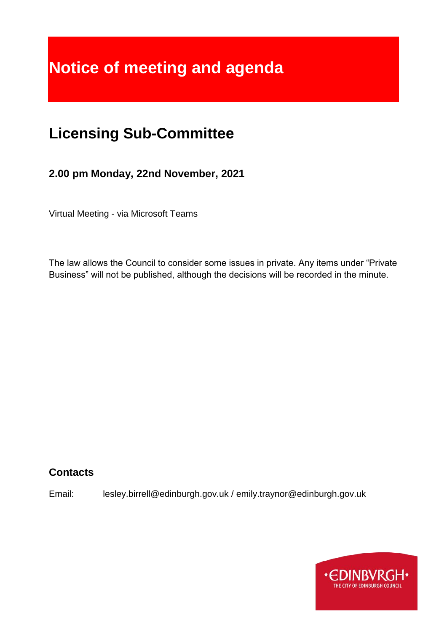# **Notice of meeting and agenda**

# **Licensing Sub-Committee**

**2.00 pm Monday, 22nd November, 2021**

Virtual Meeting - via Microsoft Teams

The law allows the Council to consider some issues in private. Any items under "Private Business" will not be published, although the decisions will be recorded in the minute.

# **Contacts**

Email: lesley.birrell@edinburgh.gov.uk / emily.traynor@edinburgh.gov.uk

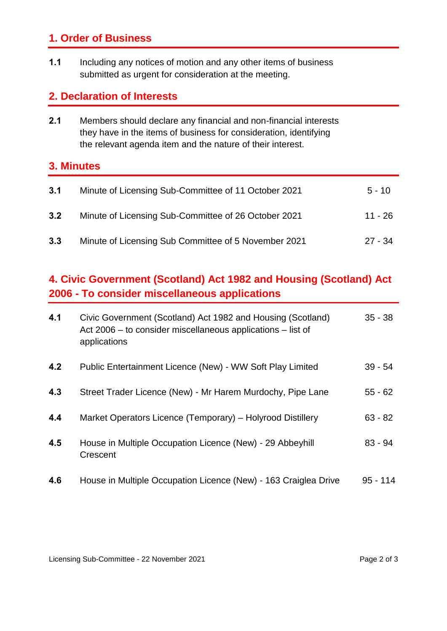# **1. Order of Business**

**1.1** Including any notices of motion and any other items of business submitted as urgent for consideration at the meeting.

### **2. Declaration of Interests**

**2.1** Members should declare any financial and non-financial interests they have in the items of business for consideration, identifying the relevant agenda item and the nature of their interest.

#### **3. Minutes**

| 3.1 | Minute of Licensing Sub-Committee of 11 October 2021 | $5 - 10$  |
|-----|------------------------------------------------------|-----------|
| 3.2 | Minute of Licensing Sub-Committee of 26 October 2021 | 11 - 26   |
| 3.3 | Minute of Licensing Sub Committee of 5 November 2021 | $27 - 34$ |

# **4. Civic Government (Scotland) Act 1982 and Housing (Scotland) Act 2006 - To consider miscellaneous applications**

| 4.1 | Civic Government (Scotland) Act 1982 and Housing (Scotland)<br>Act 2006 – to consider miscellaneous applications – list of<br>applications | $35 - 38$  |
|-----|--------------------------------------------------------------------------------------------------------------------------------------------|------------|
| 4.2 | Public Entertainment Licence (New) - WW Soft Play Limited                                                                                  | $39 - 54$  |
| 4.3 | Street Trader Licence (New) - Mr Harem Murdochy, Pipe Lane                                                                                 | $55 - 62$  |
| 4.4 | Market Operators Licence (Temporary) - Holyrood Distillery                                                                                 | $63 - 82$  |
| 4.5 | House in Multiple Occupation Licence (New) - 29 Abbeyhill<br>Crescent                                                                      | $83 - 94$  |
| 4.6 | House in Multiple Occupation Licence (New) - 163 Craiglea Drive                                                                            | $95 - 114$ |